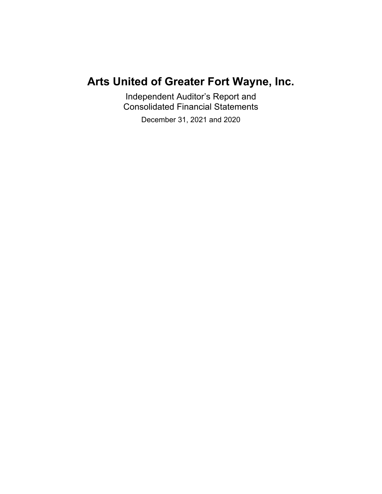Independent Auditor's Report and Consolidated Financial Statements

December 31, 2021 and 2020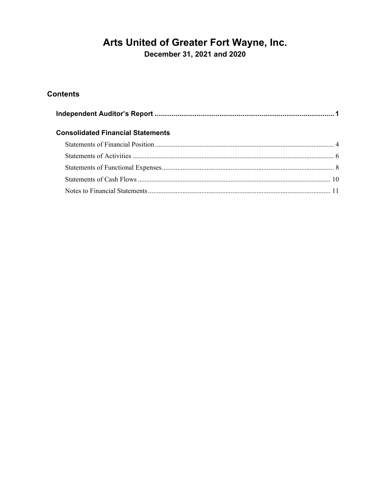December 31, 2021 and 2020

## **Contents**

| <b>Consolidated Financial Statements</b> |  |
|------------------------------------------|--|
|                                          |  |
|                                          |  |
|                                          |  |
|                                          |  |
|                                          |  |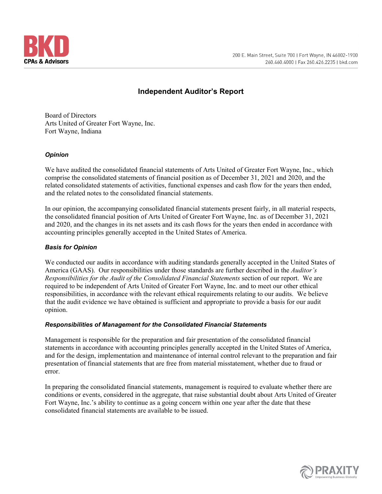

## **Independent Auditor's Report**

Board of Directors Arts United of Greater Fort Wayne, Inc. Fort Wayne, Indiana

#### *Opinion*

We have audited the consolidated financial statements of Arts United of Greater Fort Wayne, Inc., which comprise the consolidated statements of financial position as of December 31, 2021 and 2020, and the related consolidated statements of activities, functional expenses and cash flow for the years then ended, and the related notes to the consolidated financial statements.

In our opinion, the accompanying consolidated financial statements present fairly, in all material respects, the consolidated financial position of Arts United of Greater Fort Wayne, Inc. as of December 31, 2021 and 2020, and the changes in its net assets and its cash flows for the years then ended in accordance with accounting principles generally accepted in the United States of America.

#### *Basis for Opinion*

We conducted our audits in accordance with auditing standards generally accepted in the United States of America (GAAS). Our responsibilities under those standards are further described in the *Auditor's Responsibilities for the Audit of the Consolidated Financial Statements* section of our report. We are required to be independent of Arts United of Greater Fort Wayne, Inc. and to meet our other ethical responsibilities, in accordance with the relevant ethical requirements relating to our audits. We believe that the audit evidence we have obtained is sufficient and appropriate to provide a basis for our audit opinion.

#### *Responsibilities of Management for the Consolidated Financial Statements*

Management is responsible for the preparation and fair presentation of the consolidated financial statements in accordance with accounting principles generally accepted in the United States of America, and for the design, implementation and maintenance of internal control relevant to the preparation and fair presentation of financial statements that are free from material misstatement, whether due to fraud or error.

In preparing the consolidated financial statements, management is required to evaluate whether there are conditions or events, considered in the aggregate, that raise substantial doubt about Arts United of Greater Fort Wayne, Inc.'s ability to continue as a going concern within one year after the date that these consolidated financial statements are available to be issued.

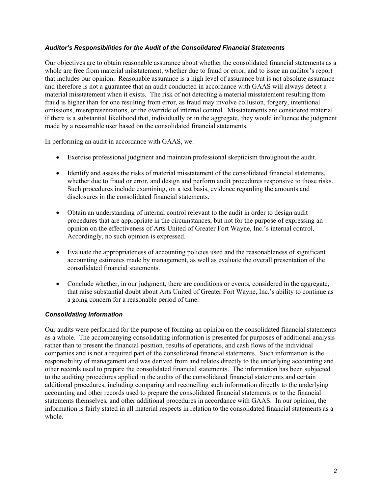#### *Auditor's Responsibilities for the Audit of the Consolidated Financial Statements*

Our objectives are to obtain reasonable assurance about whether the consolidated financial statements as a whole are free from material misstatement, whether due to fraud or error, and to issue an auditor's report that includes our opinion. Reasonable assurance is a high level of assurance but is not absolute assurance and therefore is not a guarantee that an audit conducted in accordance with GAAS will always detect a material misstatement when it exists. The risk of not detecting a material misstatement resulting from fraud is higher than for one resulting from error, as fraud may involve collusion, forgery, intentional omissions, misrepresentations, or the override of internal control. Misstatements are considered material if there is a substantial likelihood that, individually or in the aggregate, they would influence the judgment made by a reasonable user based on the consolidated financial statements.

In performing an audit in accordance with GAAS, we:

- Exercise professional judgment and maintain professional skepticism throughout the audit.
- Identify and assess the risks of material misstatement of the consolidated financial statements, whether due to fraud or error, and design and perform audit procedures responsive to those risks. Such procedures include examining, on a test basis, evidence regarding the amounts and disclosures in the consolidated financial statements.
- Obtain an understanding of internal control relevant to the audit in order to design audit procedures that are appropriate in the circumstances, but not for the purpose of expressing an opinion on the effectiveness of Arts United of Greater Fort Wayne, Inc.'s internal control. Accordingly, no such opinion is expressed.
- Evaluate the appropriateness of accounting policies used and the reasonableness of significant accounting estimates made by management, as well as evaluate the overall presentation of the consolidated financial statements.
- Conclude whether, in our judgment, there are conditions or events, considered in the aggregate, that raise substantial doubt about Arts United of Greater Fort Wayne, Inc.'s ability to continue as a going concern for a reasonable period of time.

#### **Consolidating Information**

Our audits were performed for the purpose of forming an opinion on the consolidated financial statements as a whole. The accompanying consolidating information is presented for purposes of additional analysis rather than to present the financial position, results of operations, and cash flows of the individual companies and is not a required part of the consolidated financial statements. Such information is the responsibility of management and was derived from and relates directly to the underlying accounting and other records used to prepare the consolidated financial statements. The information has been subjected to the auditing procedures applied in the audits of the consolidated financial statements and certain additional procedures, including comparing and reconciling such information directly to the underlying accounting and other records used to prepare the consolidated financial statements or to the financial statements themselves, and other additional procedures in accordance with GAAS. In our opinion, the information is fairly stated in all material respects in relation to the consolidated financial statements as a whole.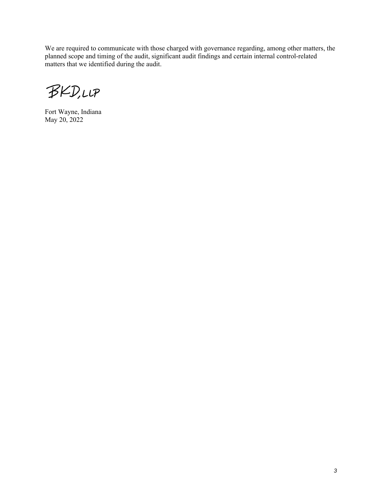We are required to communicate with those charged with governance regarding, among other matters, the planned scope and timing of the audit, significant audit findings and certain internal control-related matters that we identified during the audit.

BKD,LLP

Fort Wayne, Indiana May 20, 2022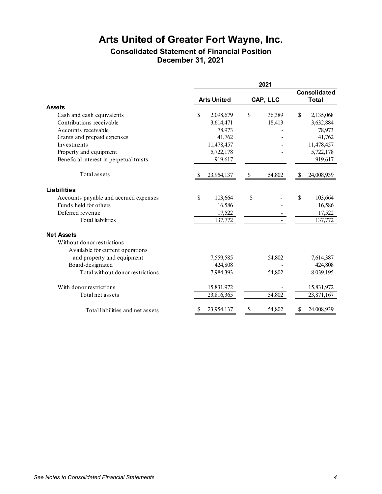## **Consolidated Statement of Financial Position December 31, 2021**

|                                                                | 2021               |                           |          |    |                                     |  |  |
|----------------------------------------------------------------|--------------------|---------------------------|----------|----|-------------------------------------|--|--|
|                                                                | <b>Arts United</b> |                           | CAP, LLC |    | <b>Consolidated</b><br><b>Total</b> |  |  |
| <b>Assets</b>                                                  |                    |                           |          |    |                                     |  |  |
| Cash and cash equivalents                                      | \$<br>2,098,679    | \$                        | 36,389   | \$ | 2,135,068                           |  |  |
| Contributions receivable                                       | 3,614,471          |                           | 18,413   |    | 3,632,884                           |  |  |
| Accounts receivable                                            | 78,973             |                           |          |    | 78,973                              |  |  |
| Grants and prepaid expenses                                    | 41,762             |                           |          |    | 41,762                              |  |  |
| Investments                                                    | 11,478,457         |                           |          |    | 11,478,457                          |  |  |
| Property and equipment                                         | 5,722,178          |                           |          |    | 5,722,178                           |  |  |
| Beneficial interest in perpetual trusts                        | 919,617            |                           |          |    | 919,617                             |  |  |
| Total assets                                                   | 23,954,137<br>-SS  | $\boldsymbol{\mathsf{S}}$ | 54,802   | S  | 24,008,939                          |  |  |
| <b>Liabilities</b>                                             |                    |                           |          |    |                                     |  |  |
| Accounts payable and accrued expenses                          | \$<br>103,664      | \$                        |          | S  | 103,664                             |  |  |
| Funds held for others                                          | 16,586             |                           |          |    | 16,586                              |  |  |
| Deferred revenue                                               | 17,522             |                           |          |    | 17,522                              |  |  |
| <b>Total</b> liabilities                                       | 137,772            |                           |          |    | 137,772                             |  |  |
| <b>Net Assets</b>                                              |                    |                           |          |    |                                     |  |  |
| Without donor restrictions<br>Available for current operations |                    |                           |          |    |                                     |  |  |
| and property and equipment                                     | 7,559,585          |                           | 54,802   |    | 7,614,387                           |  |  |
| Board-designated                                               | 424,808            |                           |          |    | 424,808                             |  |  |
| Total without donor restrictions                               | 7,984,393          |                           | 54,802   |    | 8,039,195                           |  |  |
| With donor restrictions                                        | 15,831,972         |                           |          |    | 15,831,972                          |  |  |
| Total net assets                                               | 23,816,365         |                           | 54,802   |    | 23,871,167                          |  |  |
| Total liabilities and net assets                               | 23,954,137<br>S    | \$                        | 54,802   | \$ | 24,008,939                          |  |  |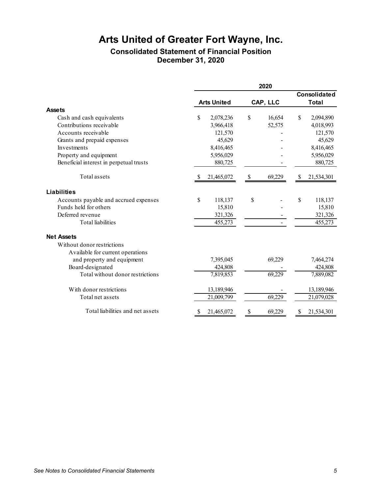## **Consolidated Statement of Financial Position December 31, 2020**

|                                         |                    |                           | 2020     |    |                     |
|-----------------------------------------|--------------------|---------------------------|----------|----|---------------------|
|                                         |                    |                           |          |    | <b>Consolidated</b> |
|                                         | <b>Arts United</b> |                           | CAP, LLC |    | <b>Total</b>        |
| <b>Assets</b>                           |                    |                           |          |    |                     |
| Cash and cash equivalents               | \$<br>2,078,236    | \$                        | 16,654   | \$ | 2,094,890           |
| Contributions receivable                | 3,966,418          |                           | 52,575   |    | 4,018,993           |
| Accounts receivable                     | 121,570            |                           |          |    | 121,570             |
| Grants and prepaid expenses             | 45,629             |                           |          |    | 45,629              |
| Investments                             | 8,416,465          |                           |          |    | 8,416,465           |
| Property and equipment                  | 5,956,029          |                           |          |    | 5,956,029           |
| Beneficial interest in perpetual trusts | 880,725            |                           |          |    | 880,725             |
| Total assets                            | 21,465,072<br>-S   | $\boldsymbol{\mathsf{S}}$ | 69,229   | \$ | 21,534,301          |
| <b>Liabilities</b>                      |                    |                           |          |    |                     |
| Accounts payable and accrued expenses   | \$<br>118,137      | \$                        |          | \$ | 118,137             |
| Funds held for others                   | 15,810             |                           |          |    | 15,810              |
| Deferred revenue                        | 321,326            |                           |          |    | 321,326             |
| <b>Total</b> liabilities                | 455,273            |                           |          |    | 455,273             |
| <b>Net Assets</b>                       |                    |                           |          |    |                     |
| Without donor restrictions              |                    |                           |          |    |                     |
| Available for current operations        |                    |                           |          |    |                     |
| and property and equipment              | 7,395,045          |                           | 69,229   |    | 7,464,274           |
| Board-designated                        | 424,808            |                           |          |    | 424,808             |
| Total without donor restrictions        | 7,819,853          |                           | 69,229   |    | 7,889,082           |
| With donor restrictions                 | 13,189,946         |                           |          |    | 13,189,946          |
| Total net assets                        | 21,009,799         |                           | 69,229   |    | 21,079,028          |
| Total liabilities and net assets        | 21,465,072<br>S    | \$                        | 69,229   | S  | 21,534,301          |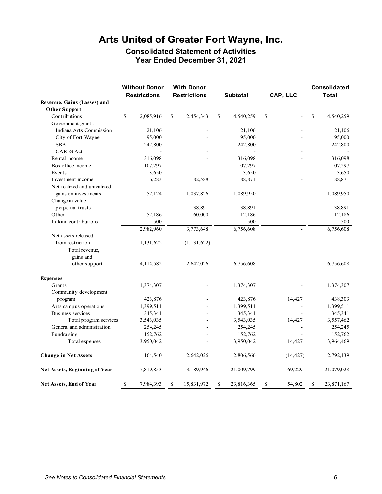**Consolidated Statement of Activities Year Ended December 31, 2021** 

|                                      | <b>Without Donor</b> | <b>With Donor</b>   |                  |              | Consolidated     |
|--------------------------------------|----------------------|---------------------|------------------|--------------|------------------|
|                                      | <b>Restrictions</b>  | <b>Restrictions</b> | <b>Subtotal</b>  | CAP, LLC     | Total            |
| Revenue, Gains (Losses) and          |                      |                     |                  |              |                  |
| <b>Other Support</b>                 |                      |                     |                  |              |                  |
| Contributions                        | \$<br>2,085,916      | \$<br>2,454,343     | \$<br>4,540,259  | \$           | \$<br>4,540,259  |
| Government grants                    |                      |                     |                  |              |                  |
| Indiana Arts Commission              | 21,106               |                     | 21,106           |              | 21,106           |
| City of Fort Wayne                   | 95,000               |                     | 95,000           |              | 95,000           |
| <b>SBA</b>                           | 242,800              |                     | 242,800          |              | 242,800          |
| <b>CARES</b> Act                     |                      |                     |                  |              |                  |
| Rental income                        | 316,098              |                     | 316,098          |              | 316,098          |
| Box office income                    | 107,297              |                     | 107,297          |              | 107,297          |
| Events                               | 3,650                |                     | 3,650            |              | 3,650            |
| Investment income                    | 6,283                | 182,588             | 188,871          |              | 188,871          |
| Net realized and unrealized          |                      |                     |                  |              |                  |
| gains on investments                 | 52,124               | 1,037,826           | 1,089,950        |              | 1,089,950        |
| Change in value -                    |                      |                     |                  |              |                  |
| perpetual trusts                     |                      | 38,891              | 38,891           |              | 38,891           |
| Other                                | 52,186               | 60,000              | 112,186          |              | 112,186          |
| In-kind contributions                | 500                  |                     | 500              |              | 500              |
|                                      | 2,982,960            | 3,773,648           | 6,756,608        |              | 6,756,608        |
| Net assets released                  |                      |                     |                  |              |                  |
| from restriction                     | 1,131,622            | (1, 131, 622)       |                  |              |                  |
| Total revenue,                       |                      |                     |                  |              |                  |
| gains and                            |                      |                     |                  |              |                  |
| other support                        | 4,114,582            | 2,642,026           | 6,756,608        |              | 6,756,608        |
| <b>Expenses</b>                      |                      |                     |                  |              |                  |
| Grants                               | 1,374,307            |                     | 1,374,307        |              | 1,374,307        |
| Community development                |                      |                     |                  |              |                  |
| program                              | 423,876              |                     | 423,876          | 14,427       | 438,303          |
| Arts campus operations               | 1,399,511            |                     | 1,399,511        |              | 1,399,511        |
| <b>Business services</b>             | 345,341              |                     | 345,341          |              | 345,341          |
| Total program services               | 3,543,035            |                     | 3,543,035        | 14,427       | 3,557,462        |
| General and administration           | 254,245              |                     | 254,245          |              | 254,245          |
| Fundraising                          | 152,762              |                     | 152,762          |              | 152,762          |
| Total expenses                       | 3,950,042            | $\overline{a}$      | 3,950,042        | 14,427       | 3,964,469        |
|                                      |                      |                     |                  |              |                  |
| <b>Change in Net Assets</b>          | 164,540              | 2,642,026           | 2,806,566        | (14, 427)    | 2,792,139        |
| <b>Net Assets, Beginning of Year</b> | 7,819,853            | 13,189,946          | 21,009,799       | 69,229       | 21,079,028       |
| Net Assets, End of Year              | \$<br>7,984,393      | \$<br>15,831,972    | \$<br>23,816,365 | \$<br>54,802 | \$<br>23,871,167 |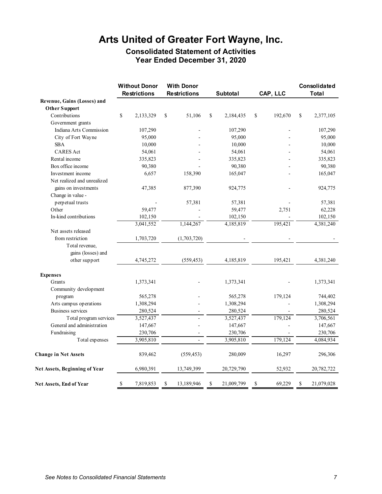**Consolidated Statement of Activities Year Ended December 31, 2020** 

|                               | <b>Without Donor</b> | <b>With Donor</b>   |                  |               | Consolidated     |
|-------------------------------|----------------------|---------------------|------------------|---------------|------------------|
|                               | <b>Restrictions</b>  | <b>Restrictions</b> | Subtotal         | CAP, LLC      | <b>Total</b>     |
| Revenue, Gains (Losses) and   |                      |                     |                  |               |                  |
| <b>Other Support</b>          |                      |                     |                  |               |                  |
| Contributions                 | \$<br>2,133,329      | \$<br>51,106        | \$<br>2,184,435  | \$<br>192,670 | \$<br>2,377,105  |
| Government grants             |                      |                     |                  |               |                  |
| Indiana Arts Commission       | 107,290              |                     | 107,290          |               | 107,290          |
| City of Fort Wayne            | 95,000               |                     | 95,000           |               | 95,000           |
| <b>SBA</b>                    | 10,000               |                     | 10,000           |               | 10,000           |
| <b>CARES</b> Act              | 54,061               |                     | 54,061           |               | 54,061           |
| Rental income                 | 335,823              |                     | 335,823          |               | 335,823          |
| Box office income             | 90,380               |                     | 90,380           |               | 90,380           |
| Investment income             | 6,657                | 158,390             | 165,047          |               | 165,047          |
| Net realized and unrealized   |                      |                     |                  |               |                  |
| gains on investments          | 47,385               | 877,390             | 924,775          |               | 924,775          |
| Change in value -             |                      |                     |                  |               |                  |
| perpetual trusts              |                      | 57,381              | 57,381           |               | 57,381           |
| Other                         | 59,477               |                     | 59,477           | 2,751         | 62,228           |
| In-kind contributions         | 102,150              |                     | 102,150          |               | 102,150          |
|                               | 3,041,552            | 1,144,267           | 4,185,819        | 195,421       | 4,381,240        |
| Net assets released           |                      |                     |                  |               |                  |
| from restriction              | 1,703,720            | (1,703,720)         |                  |               |                  |
| Total revenue,                |                      |                     |                  |               |                  |
| gains (losses) and            |                      |                     |                  |               |                  |
| other support                 | 4,745,272            | (559, 453)          | 4,185,819        | 195,421       | 4,381,240        |
| <b>Expenses</b>               |                      |                     |                  |               |                  |
| Grants                        | 1,373,341            |                     | 1,373,341        |               | 1,373,341        |
| Community development         |                      |                     |                  |               |                  |
| program                       | 565,278              |                     | 565,278          | 179,124       | 744,402          |
| Arts campus operations        | 1,308,294            |                     | 1,308,294        |               | 1,308,294        |
| <b>Business services</b>      | 280,524              |                     | 280,524          |               | 280,524          |
| Total program services        | 3,527,437            |                     | 3,527,437        | 179,124       | 3,706,561        |
| General and administration    | 147,667              |                     | 147,667          |               | 147,667          |
| Fundraising                   | 230,706              |                     | 230,706          |               | 230,706          |
| Total expenses                | 3,905,810            |                     | 3,905,810        | 179,124       | 4,084,934        |
| <b>Change in Net Assets</b>   | 839,462              | (559, 453)          | 280,009          | 16,297        | 296,306          |
| Net Assets, Beginning of Year | 6,980,391            | 13,749,399          | 20,729,790       | 52,932        | 20,782,722       |
| Net Assets, End of Year       | \$<br>7,819,853      | \$<br>13,189,946    | \$<br>21,009,799 | \$<br>69,229  | \$<br>21,079,028 |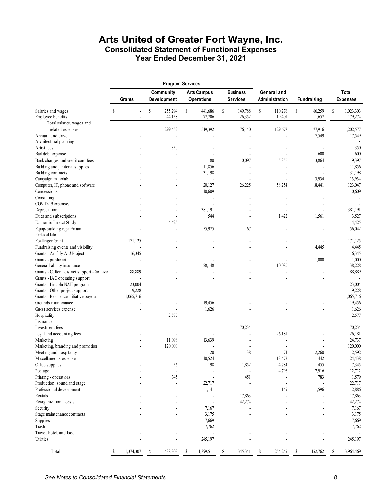## **Arts United of Greater Fort Wayne, Inc. Consolidated Statement of Functional Expenses Year Ended December 31, 2021**

|                                              | <b>Program Services</b> |                |                                                    |             |    |                          |    |                 |    |                |    |                    |    |                 |
|----------------------------------------------|-------------------------|----------------|----------------------------------------------------|-------------|----|--------------------------|----|-----------------|----|----------------|----|--------------------|----|-----------------|
|                                              |                         |                | <b>Business</b><br>Community<br><b>Arts Campus</b> |             |    |                          |    | General and     |    |                |    | Total              |    |                 |
|                                              |                         | Grants         |                                                    | Development |    | <b>Operations</b>        |    | <b>Services</b> |    | Administration |    | <b>Fundraising</b> |    | <b>Expenses</b> |
| Salaries and wages                           | \$                      | $\blacksquare$ | \$                                                 | 255,294     | \$ | 441,686                  | \$ | 149,788         | \$ | 110,276        | \$ | 66,259             | \$ | 1,023,303       |
| Employee benefits                            |                         |                |                                                    | 44,158      |    | 77,706                   |    | 26,352          |    | 19,401         |    | 11,657             |    | 179,274         |
| Total salaries, wages and                    |                         |                |                                                    |             |    |                          |    |                 |    |                |    |                    |    |                 |
| related expenses                             |                         |                |                                                    | 299,452     |    | 519,392                  |    | 176,140         |    | 129,677        |    | 77,916             |    | 1,202,577       |
| Annual fund drive                            |                         |                |                                                    |             |    |                          |    |                 |    |                |    | 17,549             |    | 17,549          |
| Architectural planning                       |                         |                |                                                    |             |    |                          |    |                 |    |                |    |                    |    |                 |
| Artist fees                                  |                         |                |                                                    | 350         |    |                          |    |                 |    |                |    |                    |    | 350             |
| Bad debt expense                             |                         |                |                                                    |             |    | $\overline{\phantom{a}}$ |    | $\overline{a}$  |    |                |    | 600                |    | 600             |
| Bank charges and credit card fees            |                         |                |                                                    |             |    | 80                       |    | 10,097          |    | 5,356          |    | 3,864              |    | 19,397          |
| Building and janitorial supplies             |                         |                |                                                    |             |    | 11,856                   |    |                 |    |                |    |                    |    | 11,856          |
| Building contracts                           |                         |                |                                                    |             |    | 31,198                   |    |                 |    |                |    | ÷.                 |    | 31,198          |
| Campaign materials                           |                         |                |                                                    |             |    | $\overline{\phantom{a}}$ |    |                 |    |                |    | 13,934             |    | 13,934          |
| Computer, IT, phone and software             |                         |                |                                                    |             |    | 20,127                   |    | 26,225          |    | 58,254         |    | 18,441             |    | 123,047         |
|                                              |                         |                |                                                    |             |    |                          |    |                 |    |                |    |                    |    |                 |
| Concessions                                  |                         |                |                                                    |             |    | 10,609                   |    |                 |    |                |    |                    |    | 10,609          |
| Consulting                                   |                         |                |                                                    |             |    |                          |    |                 |    |                |    |                    |    |                 |
| COVID-19 expenses                            |                         |                |                                                    |             |    | ÷,                       |    |                 |    |                |    |                    |    |                 |
| Depreciation                                 |                         |                |                                                    |             |    | 381,191                  |    |                 |    |                |    | ×,                 |    | 381,191         |
| Dues and subscriptions                       |                         |                |                                                    |             |    | 544                      |    | ٠               |    | 1,422          |    | 1,561              |    | 3,527           |
| Economic Impact Study                        |                         |                |                                                    | 4,425       |    |                          |    |                 |    |                |    |                    |    | 4,425           |
| Equip/building repair/maint                  |                         |                |                                                    |             |    | 55,975                   |    | 67              |    |                |    | ٠                  |    | 56,042          |
| Festival labor                               |                         |                |                                                    |             |    |                          |    |                 |    |                |    |                    |    |                 |
| Foellinger Grant                             |                         | 171,125        |                                                    |             |    |                          |    |                 |    |                |    | $\overline{a}$     |    | 171,125         |
| Fundraising events and visibility            |                         |                |                                                    |             |    |                          |    |                 |    |                |    | 4,445              |    | 4,445           |
| Grants - Amflify Art! Project                |                         | 16,345         |                                                    |             |    |                          |    |                 |    |                |    | J.                 |    | 16,345          |
| Grants - public art                          |                         | $\blacksquare$ |                                                    |             |    |                          |    |                 |    |                |    | 1,000              |    | 1,000           |
| General liability insurance                  |                         |                |                                                    |             |    | 28,148                   |    |                 |    | 10,080         |    |                    |    | 38,228          |
| Grants - Culteral district support - Go Live |                         | 88,889         |                                                    |             |    |                          |    |                 |    |                |    |                    |    | 88,889          |
| Grants - IAC operating support               |                         |                |                                                    |             |    |                          |    |                 |    |                |    |                    |    |                 |
| Grants - Lincoln NAII program                |                         | 23,004         |                                                    |             |    |                          |    |                 |    |                |    |                    |    | 23,004          |
| Grants - Other project support               |                         | 9,228          |                                                    |             |    |                          |    |                 |    |                |    |                    |    | 9,228           |
| Grants - Resilience initiative payout        |                         | 1,065,716      |                                                    |             |    |                          |    |                 |    |                |    |                    |    | 1,065,716       |
| Grounds maintenance                          |                         |                |                                                    |             |    | 19,456                   |    |                 |    |                |    | ÷,                 |    | 19,456          |
| Guest services expense                       |                         |                |                                                    |             |    | 1,626                    |    |                 |    |                |    |                    |    | 1,626           |
| Hospitality                                  |                         |                |                                                    | 2,577       |    |                          |    |                 |    |                |    |                    |    | 2,577           |
| Insurance                                    |                         |                |                                                    |             |    |                          |    |                 |    |                |    |                    |    |                 |
| Investment fees                              |                         |                |                                                    |             |    |                          |    | 70,234          |    |                |    |                    |    | 70,234          |
| Legal and accounting fees                    |                         |                |                                                    |             |    |                          |    |                 |    | 26,181         |    |                    |    | 26,181          |
| Marketing                                    |                         |                |                                                    | 11,098      |    | 13,639                   |    | ÷.              |    |                |    | ٠                  |    | 24,737          |
| Marketing, branding and promotion            |                         |                |                                                    | 120,000     |    |                          |    |                 |    |                |    |                    |    | 120,000         |
| Meeting and hospitality                      |                         |                |                                                    |             |    | 120                      |    | 138             |    | 74             |    | 2,260              |    | 2,592           |
| Miscellaneous expense                        |                         |                |                                                    |             |    | 10,524                   |    | ä,              |    | 13,472         |    | 442                |    | 24,438          |
| Office supplies                              |                         |                |                                                    | 56          |    | 198                      |    | 1,852           |    | 4,784          |    | 455                |    | 7,345           |
| Postage                                      |                         |                |                                                    | J.          |    | $\overline{\phantom{a}}$ |    |                 |    | 4,796          |    | 7,916              |    | 12,712          |
| Printing - operations                        |                         |                |                                                    | 345         |    |                          |    | 451             |    |                |    | 783                |    | 1,579           |
| Production, sound and stage                  |                         |                |                                                    |             |    | 22,717                   |    |                 |    |                |    |                    |    | 22,717          |
| Professional development                     |                         |                |                                                    |             |    | 1,141                    |    |                 |    | 149            |    | 1,596              |    | 2,886           |
| Rentals                                      |                         |                |                                                    |             |    |                          |    | 17,863          |    |                |    |                    |    | 17,863          |
|                                              |                         |                |                                                    |             |    |                          |    |                 |    |                |    |                    |    |                 |
| Reorganizational costs                       |                         |                |                                                    |             |    |                          |    | 42,274          |    |                |    |                    |    | 42,274          |
| Security                                     |                         |                |                                                    |             |    | 7,167                    |    |                 |    |                |    |                    |    | 7,167           |
| Stage maintenance contracts                  |                         |                |                                                    |             |    | 3,175                    |    |                 |    |                |    |                    |    | 3,175           |
| Supplies                                     |                         |                |                                                    |             |    | 7,669                    |    |                 |    |                |    |                    |    | 7,669           |
| Trash                                        |                         |                |                                                    |             |    | 7,762                    |    |                 |    |                |    |                    |    | 7,762           |
| Travel, hotel, and food                      |                         |                |                                                    |             |    |                          |    |                 |    |                |    |                    |    |                 |
| Utilities                                    |                         |                |                                                    |             |    | 245,197                  |    |                 |    |                |    |                    |    | 245,197         |
| Total                                        | \$                      | 1,374,307      | \$                                                 | 438,303     | \$ | 1,399,511                | \$ | 345,341         | \$ | 254,245        | \$ | 152,762            | \$ | 3,964,469       |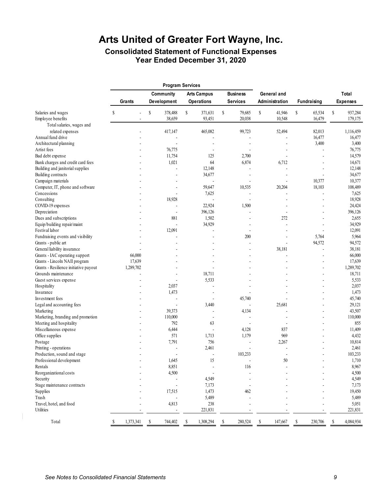### **Consolidated Statement of Functional Expenses Year Ended December 31, 2020**

|                                                        |                 | <b>Program Services</b> |    |                    |    |                          |                          |                    |                 |
|--------------------------------------------------------|-----------------|-------------------------|----|--------------------|----|--------------------------|--------------------------|--------------------|-----------------|
|                                                        |                 | Community               |    | <b>Arts Campus</b> |    | <b>Business</b>          | General and              |                    | Total           |
|                                                        | Grants          | Development             |    | <b>Operations</b>  |    | <b>Services</b>          | <b>Administration</b>    | <b>Fundraising</b> | <b>Expenses</b> |
|                                                        | \$<br>L         | \$                      | \$ | 371,631            | \$ |                          | \$<br>41,946             | \$                 | 937,284         |
| Salaries and wages<br>Employee benefits                |                 | 378,488<br>38,659       |    | 93,451             |    | 79,685<br>20,038         | 10,548                   | 65,534<br>16,479   | \$<br>179,175   |
| Total salaries, wages and                              |                 |                         |    |                    |    |                          |                          |                    |                 |
| related expenses                                       |                 | 417,147                 |    | 465,082            |    | 99,723                   | 52,494                   | 82,013             | 1,116,459       |
| Annual fund drive                                      |                 |                         |    |                    |    |                          |                          | 16,477             | 16,477          |
| Architectural planning                                 |                 | Ĭ.                      |    |                    |    |                          |                          | 3,400              | 3,400           |
| Artist fees                                            |                 | 76,775                  |    |                    |    |                          |                          |                    | 76,775          |
| Bad debt expense                                       |                 | 11,754                  |    | 125                |    | 2,700                    |                          |                    | 14,579          |
| Bank charges and credit card fees                      |                 | 1,021                   |    | 64                 |    | 6,874                    | 6,712                    |                    | 14,671          |
| Building and janitorial supplies                       |                 |                         |    | 12,148             |    |                          |                          |                    | 12,148          |
| Building contracts                                     |                 |                         |    | 34,677             |    |                          |                          |                    | 34,677          |
|                                                        |                 |                         |    |                    |    |                          |                          | 10,377             | 10,377          |
| Campaign materials<br>Computer, IT, phone and software |                 |                         |    | 59,647             |    | 10,535                   | 20,204                   | 18,103             | 108,489         |
| Concessions                                            |                 | ä,                      |    | 7,625              |    |                          |                          |                    | 7,625           |
|                                                        |                 |                         |    |                    |    | $\overline{\phantom{a}}$ |                          |                    |                 |
| Consulting                                             |                 | 18,928                  |    |                    |    |                          |                          |                    | 18,928          |
| COVID-19 expenses                                      |                 | ä,                      |    | 22,924             |    | 1,500                    |                          |                    | 24,424          |
| Depreciation                                           |                 | ä,                      |    | 396,126            |    |                          | ä,                       |                    | 396,126         |
| Dues and subscriptions                                 |                 | 881                     |    | 1,502              |    |                          | 272                      |                    | 2,655           |
| Equip/building repair/maint                            |                 | ä,                      |    | 34,929             |    |                          | ä,                       | ٠                  | 34,929          |
| Festival labor                                         |                 | 12,091                  |    |                    |    | $\blacksquare$           |                          | ÷,                 | 12,091          |
| Fundraising events and visibility                      |                 |                         |    | $\overline{a}$     |    | 200                      | $\overline{\phantom{a}}$ | 5,764              | 5,964           |
| Grants - public art                                    |                 |                         |    |                    |    |                          |                          | 94,572             | 94,572          |
| General liability insurance                            |                 |                         |    |                    |    |                          | 38,181                   | Ĭ.                 | 38,181          |
| Grants - IAC operating support                         | 66,000          |                         |    |                    |    |                          |                          |                    | 66,000          |
| Grants - Lincoln NAII program                          | 17,639          |                         |    |                    |    |                          |                          |                    | 17,639          |
| Grants - Resilience initiative payout                  | 1,289,702       |                         |    |                    |    |                          |                          | ä,                 | 1,289,702       |
| Grounds maintenance                                    |                 |                         |    | 18,711             |    |                          |                          |                    | 18,711          |
| Guest services expense                                 |                 | Ĭ.                      |    | 5,533              |    |                          |                          |                    | 5,533           |
| Hospitality                                            |                 | 2,037                   |    |                    |    |                          |                          | ä,                 | 2,037           |
| Insurance                                              |                 | 1,473                   |    |                    |    |                          |                          |                    | 1,473           |
| Investment fees                                        |                 | $\overline{a}$          |    |                    |    | 45,740                   |                          | ä,                 | 45,740          |
| Legal and accounting fees                              |                 | ä,                      |    | 3,440              |    |                          | 25,681                   | ٠                  | 29,121          |
| Marketing                                              |                 | 39,373                  |    |                    |    | 4,134                    |                          |                    | 43,507          |
| Marketing, branding and promotion                      |                 | 110,000                 |    | $\blacksquare$     |    |                          | ÷.                       | ÷.                 | 110,000         |
| Meeting and hospitality                                |                 | 792                     |    | 63                 |    | $\sim$                   | ä,                       |                    | 855             |
| Miscellaneous expense                                  |                 | 6,444                   |    | J.                 |    | 4,128                    | 837                      |                    | 11,409          |
| Office supplies                                        |                 | 571                     |    | 1,713              |    | 1,179                    | 969                      |                    | 4,432           |
| Postage                                                |                 | 7,791                   |    | 756                |    | $\sim$                   | 2,267                    |                    | 10,814          |
| Printing - operations                                  |                 |                         |    | 2,461              |    |                          |                          |                    | 2,461           |
| Production, sound and stage                            |                 |                         |    |                    |    | 103,233                  | ä,                       |                    | 103,233         |
| Professional development                               |                 | 1.645                   |    | 15                 |    |                          | 50                       |                    | 1,710           |
| Rentals                                                |                 | 8,851                   |    |                    |    | 116                      |                          |                    | 8,967           |
| Reorganizational costs                                 |                 | 4,500                   |    |                    |    |                          |                          |                    | 4,500           |
| Security                                               |                 | ÷,                      |    | 4,549              |    |                          |                          |                    | 4,549           |
| Stage maintenance contracts                            |                 |                         |    | 7,173              |    |                          |                          |                    | 7,173           |
| Supplies                                               |                 | 17,515                  |    | 1,473              |    | 462                      |                          |                    | 19,450          |
| Trash                                                  |                 |                         |    | 5,489              |    |                          |                          |                    | 5,489           |
| Travel, hotel, and food                                |                 | 4,813                   |    | 238                |    |                          |                          |                    | 5,051           |
| Utilities                                              |                 | $\overline{a}$          |    | 221,831            |    |                          |                          |                    | 221,831         |
| Total                                                  | \$<br>1,373,341 | \$<br>744,402           | S  | 1,308,294          | S  | 280,524                  | \$<br>147,667            | \$<br>230,706      | \$<br>4,084,934 |

 $\begin{array}{c} \hline \end{array}$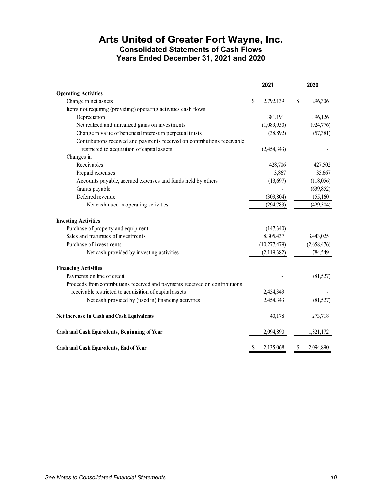## **Arts United of Greater Fort Wayne, Inc. Consolidated Statements of Cash Flows Years Ended December 31, 2021 and 2020**

|                                                                             | 2021            | 2020            |
|-----------------------------------------------------------------------------|-----------------|-----------------|
| <b>Operating Activities</b>                                                 |                 |                 |
| Change in net assets                                                        | \$<br>2,792,139 | \$<br>296,306   |
| Items not requiring (providing) operating activities cash flows             |                 |                 |
| Depreciation                                                                | 381,191         | 396,126         |
| Net realized and unrealized gains on investments                            | (1,089,950)     | (924, 776)      |
| Change in value of beneficial interest in perpetual trusts                  | (38, 892)       | (57, 381)       |
| Contributions received and payments received on contributions receivable    |                 |                 |
| restricted to acquisition of capital assets                                 | (2,454,343)     |                 |
| Changes in                                                                  |                 |                 |
| Receivables                                                                 | 428,706         | 427,502         |
| Prepaid expenses                                                            | 3,867           | 35,667          |
| Accounts payable, accrued expenses and funds held by others                 | (13,697)        | (118,056)       |
| Grants payable                                                              |                 | (639, 852)      |
| Deferred revenue                                                            | (303, 804)      | 155,160         |
| Net cash used in operating activities                                       | (294, 783)      | (429, 304)      |
| <b>Investing Activities</b>                                                 |                 |                 |
| Purchase of property and equipment                                          | (147, 340)      |                 |
| Sales and maturities of investments                                         | 8,305,437       | 3,443,025       |
| Purchase of investments                                                     | (10, 277, 479)  | (2,658,476)     |
| Net cash provided by investing activities                                   | (2,119,382)     | 784,549         |
| <b>Financing Activities</b>                                                 |                 |                 |
| Payments on line of credit                                                  |                 | (81,527)        |
| Proceeds from contributions received and payments received on contributions |                 |                 |
| receivable restricted to acquisition of capital assets                      | 2,454,343       |                 |
| Net cash provided by (used in) financing activities                         | 2,454,343       | (81,527)        |
| Net Increase in Cash and Cash Equivalents                                   | 40,178          | 273,718         |
| Cash and Cash Equivalents, Beginning of Year                                | 2,094,890       | 1,821,172       |
| Cash and Cash Equivalents, End of Year                                      | \$<br>2,135,068 | \$<br>2,094,890 |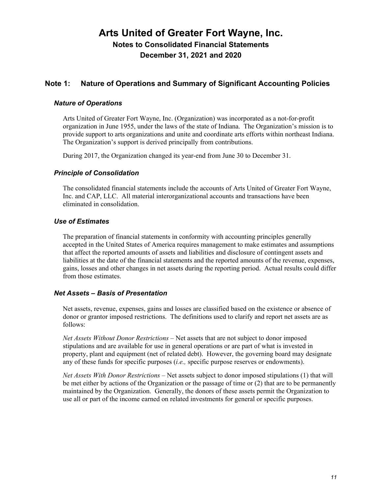## **Note 1: Nature of Operations and Summary of Significant Accounting Policies**

### *Nature of Operations*

Arts United of Greater Fort Wayne, Inc. (Organization) was incorporated as a not-for-profit organization in June 1955, under the laws of the state of Indiana. The Organization's mission is to provide support to arts organizations and unite and coordinate arts efforts within northeast Indiana. The Organization's support is derived principally from contributions.

During 2017, the Organization changed its year-end from June 30 to December 31.

## *Principle of Consolidation*

The consolidated financial statements include the accounts of Arts United of Greater Fort Wayne, Inc. and CAP, LLC. All material interorganizational accounts and transactions have been eliminated in consolidation.

## *Use of Estimates*

The preparation of financial statements in conformity with accounting principles generally accepted in the United States of America requires management to make estimates and assumptions that affect the reported amounts of assets and liabilities and disclosure of contingent assets and liabilities at the date of the financial statements and the reported amounts of the revenue, expenses, gains, losses and other changes in net assets during the reporting period. Actual results could differ from those estimates.

### *Net Assets – Basis of Presentation*

Net assets, revenue, expenses, gains and losses are classified based on the existence or absence of donor or grantor imposed restrictions. The definitions used to clarify and report net assets are as follows:

*Net Assets Without Donor Restrictions* – Net assets that are not subject to donor imposed stipulations and are available for use in general operations or are part of what is invested in property, plant and equipment (net of related debt). However, the governing board may designate any of these funds for specific purposes (*i.e.,* specific purpose reserves or endowments).

*Net Assets With Donor Restrictions* – Net assets subject to donor imposed stipulations (1) that will be met either by actions of the Organization or the passage of time or (2) that are to be permanently maintained by the Organization. Generally, the donors of these assets permit the Organization to use all or part of the income earned on related investments for general or specific purposes.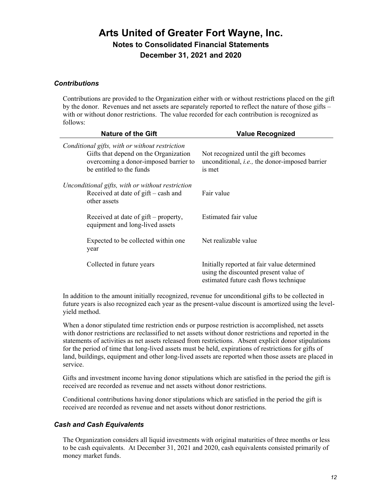#### *Contributions*

Contributions are provided to the Organization either with or without restrictions placed on the gift by the donor. Revenues and net assets are separately reported to reflect the nature of those gifts – with or without donor restrictions. The value recorded for each contribution is recognized as follows:

| <b>Nature of the Gift</b>                                                                                                                                    | <b>Value Recognized</b>                                                                                                       |
|--------------------------------------------------------------------------------------------------------------------------------------------------------------|-------------------------------------------------------------------------------------------------------------------------------|
| Conditional gifts, with or without restriction<br>Gifts that depend on the Organization<br>overcoming a donor-imposed barrier to<br>be entitled to the funds | Not recognized until the gift becomes<br>unconditional, <i>i.e.</i> , the donor-imposed barrier<br>is met                     |
| Unconditional gifts, with or without restriction<br>Received at date of $g$ ift – cash and<br>other assets                                                   | Fair value                                                                                                                    |
| Received at date of $g$ ift – property,<br>equipment and long-lived assets                                                                                   | Estimated fair value                                                                                                          |
| Expected to be collected within one.<br>year                                                                                                                 | Net realizable value                                                                                                          |
| Collected in future years                                                                                                                                    | Initially reported at fair value determined<br>using the discounted present value of<br>estimated future cash flows technique |

In addition to the amount initially recognized, revenue for unconditional gifts to be collected in future years is also recognized each year as the present-value discount is amortized using the levelyield method.

When a donor stipulated time restriction ends or purpose restriction is accomplished, net assets with donor restrictions are reclassified to net assets without donor restrictions and reported in the statements of activities as net assets released from restrictions. Absent explicit donor stipulations for the period of time that long-lived assets must be held, expirations of restrictions for gifts of land, buildings, equipment and other long-lived assets are reported when those assets are placed in service.

Gifts and investment income having donor stipulations which are satisfied in the period the gift is received are recorded as revenue and net assets without donor restrictions.

Conditional contributions having donor stipulations which are satisfied in the period the gift is received are recorded as revenue and net assets without donor restrictions.

### *Cash and Cash Equivalents*

The Organization considers all liquid investments with original maturities of three months or less to be cash equivalents. At December 31, 2021 and 2020, cash equivalents consisted primarily of money market funds.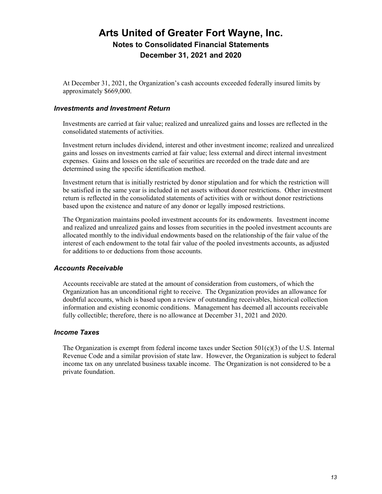At December 31, 2021, the Organization's cash accounts exceeded federally insured limits by approximately \$669,000.

#### *Investments and Investment Return*

Investments are carried at fair value; realized and unrealized gains and losses are reflected in the consolidated statements of activities.

Investment return includes dividend, interest and other investment income; realized and unrealized gains and losses on investments carried at fair value; less external and direct internal investment expenses. Gains and losses on the sale of securities are recorded on the trade date and are determined using the specific identification method.

Investment return that is initially restricted by donor stipulation and for which the restriction will be satisfied in the same year is included in net assets without donor restrictions. Other investment return is reflected in the consolidated statements of activities with or without donor restrictions based upon the existence and nature of any donor or legally imposed restrictions.

The Organization maintains pooled investment accounts for its endowments. Investment income and realized and unrealized gains and losses from securities in the pooled investment accounts are allocated monthly to the individual endowments based on the relationship of the fair value of the interest of each endowment to the total fair value of the pooled investments accounts, as adjusted for additions to or deductions from those accounts.

#### *Accounts Receivable*

Accounts receivable are stated at the amount of consideration from customers, of which the Organization has an unconditional right to receive. The Organization provides an allowance for doubtful accounts, which is based upon a review of outstanding receivables, historical collection information and existing economic conditions. Management has deemed all accounts receivable fully collectible; therefore, there is no allowance at December 31, 2021 and 2020.

#### *Income Taxes*

The Organization is exempt from federal income taxes under Section  $501(c)(3)$  of the U.S. Internal Revenue Code and a similar provision of state law. However, the Organization is subject to federal income tax on any unrelated business taxable income. The Organization is not considered to be a private foundation.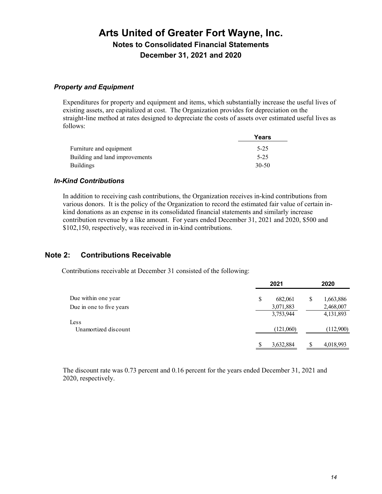#### *Property and Equipment*

Expenditures for property and equipment and items, which substantially increase the useful lives of existing assets, are capitalized at cost. The Organization provides for depreciation on the straight-line method at rates designed to depreciate the costs of assets over estimated useful lives as follows:

|                                | Years     |
|--------------------------------|-----------|
| Furniture and equipment        | $5 - 25$  |
| Building and land improvements | 5-25      |
| <b>Buildings</b>               | $30 - 50$ |

## *In-Kind Contributions*

In addition to receiving cash contributions, the Organization receives in-kind contributions from various donors. It is the policy of the Organization to record the estimated fair value of certain inkind donations as an expense in its consolidated financial statements and similarly increase contribution revenue by a like amount. For years ended December 31, 2021 and 2020, \$500 and \$102,150, respectively, was received in in-kind contributions.

## **Note 2: Contributions Receivable**

Contributions receivable at December 31 consisted of the following:

|                          | 2021 | 2020                      |  |
|--------------------------|------|---------------------------|--|
| Due within one year      | S    | 1,663,886<br>682,061<br>S |  |
| Due in one to five years |      | 2,468,007<br>3,071,883    |  |
|                          |      | 3,753,944<br>4,131,893    |  |
| Less                     |      |                           |  |
| Unamortized discount     |      | (121,060)<br>(112,900)    |  |
|                          |      |                           |  |
|                          |      | 3,632,884<br>4,018,993    |  |

The discount rate was 0.73 percent and 0.16 percent for the years ended December 31, 2021 and 2020, respectively.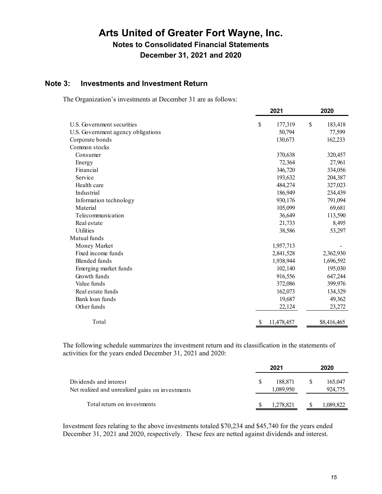## **Note 3: Investments and Investment Return**

The Organization's investments at December 31 are as follows:

|                                    | 2021            | 2020          |
|------------------------------------|-----------------|---------------|
| U.S. Government securities         | \$<br>177,319   | \$<br>183,418 |
| U.S. Government agency obligations | 50,794          | 77,599        |
| Corporate bonds                    | 130,673         | 162,233       |
| Common stocks                      |                 |               |
| Consumer                           | 370,638         | 320,457       |
| Energy                             | 72,364          | 27,961        |
| Financial                          | 346,720         | 334,056       |
| Service                            | 193,632         | 204,387       |
| Health care                        | 484,274         | 327,023       |
| Industrial                         | 186,949         | 234,439       |
| Information technology             | 930,176         | 791,094       |
| Material                           | 105,099         | 69,681        |
| Telecommunication                  | 36,649          | 113,590       |
| Real estate                        | 21,733          | 8,495         |
| <b>Utilities</b>                   | 38,586          | 53,297        |
| Mutual funds                       |                 |               |
| Money Market                       | 1,957,713       |               |
| Fixed income funds                 | 2,841,528       | 2,362,930     |
| Blended funds                      | 1,938,944       | 1,696,592     |
| Emerging market funds              | 102,140         | 195,030       |
| Growth funds                       | 916,556         | 647,244       |
| Value funds                        | 372,086         | 399,976       |
| Real estate funds                  | 162,073         | 134,329       |
| Bank loan funds                    | 19,687          | 49,362        |
| Other funds                        | 22,124          | 23,272        |
| Total                              | 11,478,457<br>S | \$8,416,465   |

The following schedule summarizes the investment return and its classification in the statements of activities for the years ended December 31, 2021 and 2020:

|                                                                            | 2021                 | 2020               |
|----------------------------------------------------------------------------|----------------------|--------------------|
| Dividends and interest<br>Net realized and unrealized gains on investments | 188,871<br>1,089,950 | 165,047<br>924,775 |
| Total return on investments                                                | 1,278,821            | 1,089,822          |

Investment fees relating to the above investments totaled \$70,234 and \$45,740 for the years ended December 31, 2021 and 2020, respectively. These fees are netted against dividends and interest.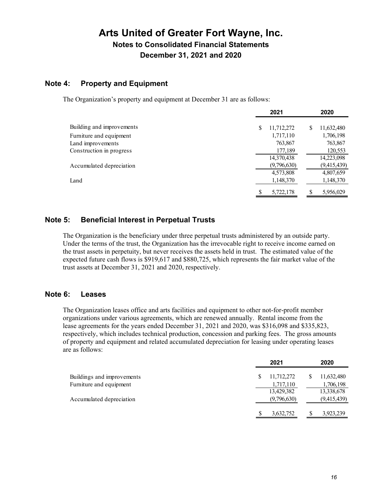## **Note 4: Property and Equipment**

The Organization's property and equipment at December 31 are as follows:

|                           |   | 2021        |   | 2020        |
|---------------------------|---|-------------|---|-------------|
| Building and improvements | S | 11,712,272  | S | 11,632,480  |
| Furniture and equipment   |   | 1,717,110   |   | 1,706,198   |
| Land improvements         |   | 763,867     |   | 763,867     |
| Construction in progress  |   | 177,189     |   | 120,553     |
|                           |   | 14,370,438  |   | 14,223,098  |
| Accumulated depreciation  |   | (9,796,630) |   | (9,415,439) |
|                           |   | 4,573,808   |   | 4,807,659   |
| Land                      |   | 1,148,370   |   | 1,148,370   |
|                           |   | 5,722,178   |   | 5,956,029   |

## **Note 5: Beneficial Interest in Perpetual Trusts**

The Organization is the beneficiary under three perpetual trusts administered by an outside party. Under the terms of the trust, the Organization has the irrevocable right to receive income earned on the trust assets in perpetuity, but never receives the assets held in trust. The estimated value of the expected future cash flows is \$919,617 and \$880,725, which represents the fair market value of the trust assets at December 31, 2021 and 2020, respectively.

### **Note 6: Leases**

The Organization leases office and arts facilities and equipment to other not-for-profit member organizations under various agreements, which are renewed annually. Rental income from the lease agreements for the years ended December 31, 2021 and 2020, was \$316,098 and \$335,823, respectively, which includes technical production, concession and parking fees. The gross amounts of property and equipment and related accumulated depreciation for leasing under operating leases are as follows:

|                            | 2021        | 2020        |
|----------------------------|-------------|-------------|
| Buildings and improvements | 11,712,272  | 11,632,480  |
| Furniture and equipment    | 1,717,110   | 1,706,198   |
|                            | 13,429,382  | 13,338,678  |
| Accumulated depreciation   | (9,796,630) | (9,415,439) |
|                            | 3,632,752   | 3,923,239   |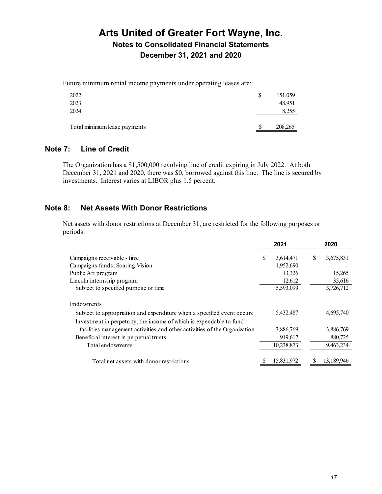Future minimum rental income payments under operating leases are:

| 2022<br>2023<br>2024         | \$ | 151,059<br>48,951<br>8,255 |
|------------------------------|----|----------------------------|
| Total minimum lease payments | S  | 208,265                    |

## **Note 7: Line of Credit**

The Organization has a \$1,500,000 revolving line of credit expiring in July 2022. At both December 31, 2021 and 2020, there was \$0, borrowed against this line. The line is secured by investments. Interest varies at LIBOR plus 1.5 percent.

## **Note 8: Net Assets With Donor Restrictions**

Net assets with donor restrictions at December 31, are restricted for the following purposes or periods:

|                                                                           |   | 2021       |   | 2020       |
|---------------------------------------------------------------------------|---|------------|---|------------|
| Campaigns receivable - time                                               | S | 3,614,471  | S | 3,675,831  |
| Campaigns funds, Soaring Vision                                           |   | 1,952,690  |   |            |
| Public Art program                                                        |   | 13,326     |   | 15,265     |
| Lincoln internship program                                                |   | 12,612     |   | 35,616     |
| Subject to specified purpose or time                                      |   | 5,593,099  |   | 3,726,712  |
| <b>Endowments</b>                                                         |   |            |   |            |
| Subject to appropriation and expenditure when a specified event occurs    |   | 5,432,487  |   | 4,695,740  |
| Investment in perpetuity, the income of which is expendable to fund       |   |            |   |            |
| facilities management activities and other activities of the Organization |   | 3,886,769  |   | 3,886,769  |
| Beneficial interest in perpetual trusts                                   |   | 919,617    |   | 880,725    |
| Total endowments                                                          |   | 10,238,873 |   | 9,463,234  |
| Total net assets with donor restrictions                                  |   | 15,831,972 |   | 13.189.946 |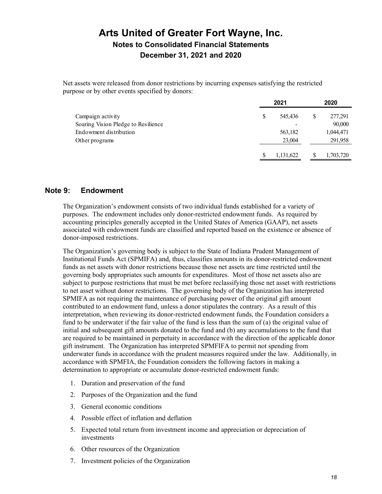Net assets were released from donor restrictions by incurring expenses satisfying the restricted purpose or by other events specified by donors:

|                                     | 2021          |  | 2020      |  |
|-------------------------------------|---------------|--|-----------|--|
| Campaign activity                   | \$<br>545,436 |  | 277,291   |  |
| Soaring Vision Pledge to Resilience |               |  | 90,000    |  |
| Endowment distribution              | 563,182       |  | 1,044,471 |  |
| Other programs                      | 23,004        |  | 291,958   |  |
|                                     | 1,131,622     |  | 1,703,720 |  |

### **Note 9: Endowment**

The Organization's endowment consists of two individual funds established for a variety of purposes. The endowment includes only donor-restricted endowment funds. As required by accounting principles generally accepted in the United States of America (GAAP), net assets associated with endowment funds are classified and reported based on the existence or absence of donor-imposed restrictions.

The Organization's governing body is subject to the State of Indiana Prudent Management of Institutional Funds Act (SPMIFA) and, thus, classifies amounts in its donor-restricted endowment funds as net assets with donor restrictions because those net assets are time restricted until the governing body appropriates such amounts for expenditures. Most of those net assets also are subject to purpose restrictions that must be met before reclassifying those net asset with restrictions to net asset without donor restrictions. The governing body of the Organization has interpreted SPMIFA as not requiring the maintenance of purchasing power of the original gift amount contributed to an endowment fund, unless a donor stipulates the contrary. As a result of this interpretation, when reviewing its donor-restricted endowment funds, the Foundation considers a fund to be underwater if the fair value of the fund is less than the sum of (a) the original value of initial and subsequent gift amounts donated to the fund and (b) any accumulations to the fund that are required to be maintained in perpetuity in accordance with the direction of the applicable donor gift instrument. The Organization has interpreted SPMFIFA to permit not spending from underwater funds in accordance with the prudent measures required under the law. Additionally, in accordance with SPMFIA, the Foundation considers the following factors in making a determination to appropriate or accumulate donor-restricted endowment funds:

- 1. Duration and preservation of the fund
- 2. Purposes of the Organization and the fund
- 3. General economic conditions
- 4. Possible effect of inflation and deflation
- 5. Expected total return from investment income and appreciation or depreciation of investments
- 6. Other resources of the Organization
- 7. Investment policies of the Organization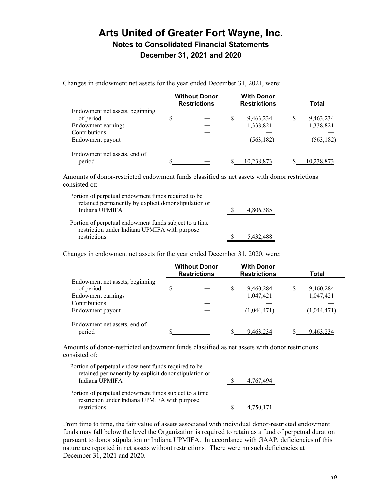Changes in endowment net assets for the year ended December 31, 2021, were:

|                                        |   | <b>Without Donor</b><br><b>Restrictions</b> |    | <b>With Donor</b><br><b>Restrictions</b> |   | Total      |
|----------------------------------------|---|---------------------------------------------|----|------------------------------------------|---|------------|
| Endowment net assets, beginning        |   |                                             |    |                                          |   |            |
| of period                              | S |                                             | \$ | 9,463,234                                | S | 9,463,234  |
| Endowment earnings                     |   |                                             |    | 1,338,821                                |   | 1,338,821  |
| Contributions                          |   |                                             |    |                                          |   |            |
| Endowment payout                       |   |                                             |    | (563, 182)                               |   | (563,182)  |
| Endowment net assets, end of<br>period |   |                                             |    | 10,238,873                               |   | 10,238,873 |

Amounts of donor-restricted endowment funds classified as net assets with donor restrictions consisted of:

| Portion of perpetual endowment funds required to be                                                     |           |
|---------------------------------------------------------------------------------------------------------|-----------|
| retained permanently by explicit donor stipulation or                                                   |           |
| Indiana UPMIFA                                                                                          | 4,806,385 |
| Portion of perpetual endowment funds subject to a time<br>restriction under Indiana UPMIFA with purpose |           |
| restrictions                                                                                            | 5.432,488 |

Changes in endowment net assets for the year ended December 31, 2020, were:

|                                              | <b>Without Donor</b><br><b>Restrictions</b> | <b>With Donor</b><br><b>Restrictions</b> |             |   | Total       |
|----------------------------------------------|---------------------------------------------|------------------------------------------|-------------|---|-------------|
| Endowment net assets, beginning<br>of period | \$                                          | \$                                       | 9,460,284   | S | 9,460,284   |
| Endowment earnings                           |                                             |                                          | 1,047,421   |   | 1,047,421   |
| Contributions<br>Endowment payout            |                                             |                                          | (1.044.471) |   | (1.044.471) |
|                                              |                                             |                                          |             |   |             |
| Endowment net assets, end of<br>period       |                                             |                                          | 9463234     |   |             |

Amounts of donor-restricted endowment funds classified as net assets with donor restrictions consisted of:

| Portion of perpetual endowment funds required to be                                                     |           |
|---------------------------------------------------------------------------------------------------------|-----------|
| retained permanently by explicit donor stipulation or                                                   |           |
| Indiana UPMIFA                                                                                          | 4,767,494 |
| Portion of perpetual endowment funds subject to a time<br>restriction under Indiana UPMIFA with purpose |           |
| restrictions                                                                                            | 4,750,171 |

From time to time, the fair value of assets associated with individual donor-restricted endowment funds may fall below the level the Organization is required to retain as a fund of perpetual duration pursuant to donor stipulation or Indiana UPMIFA. In accordance with GAAP, deficiencies of this nature are reported in net assets without restrictions. There were no such deficiencies at December 31, 2021 and 2020.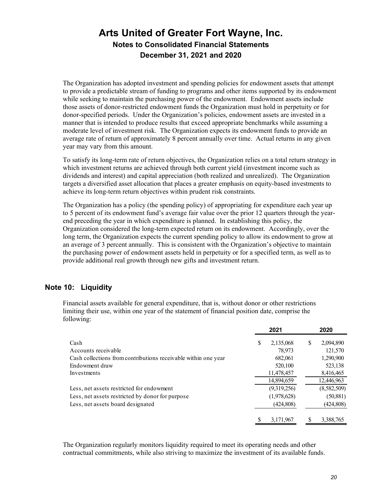The Organization has adopted investment and spending policies for endowment assets that attempt to provide a predictable stream of funding to programs and other items supported by its endowment while seeking to maintain the purchasing power of the endowment. Endowment assets include those assets of donor-restricted endowment funds the Organization must hold in perpetuity or for donor-specified periods. Under the Organization's policies, endowment assets are invested in a manner that is intended to produce results that exceed appropriate benchmarks while assuming a moderate level of investment risk. The Organization expects its endowment funds to provide an average rate of return of approximately 8 percent annually over time. Actual returns in any given year may vary from this amount.

To satisfy its long-term rate of return objectives, the Organization relies on a total return strategy in which investment returns are achieved through both current yield (investment income such as dividends and interest) and capital appreciation (both realized and unrealized). The Organization targets a diversified asset allocation that places a greater emphasis on equity-based investments to achieve its long-term return objectives within prudent risk constraints.

The Organization has a policy (the spending policy) of appropriating for expenditure each year up to 5 percent of its endowment fund's average fair value over the prior 12 quarters through the yearend preceding the year in which expenditure is planned. In establishing this policy, the Organization considered the long-term expected return on its endowment. Accordingly, over the long term, the Organization expects the current spending policy to allow its endowment to grow at an average of 3 percent annually. This is consistent with the Organization's objective to maintain the purchasing power of endowment assets held in perpetuity or for a specified term, as well as to provide additional real growth through new gifts and investment return.

## **Note 10: Liquidity**

Financial assets available for general expenditure, that is, without donor or other restrictions limiting their use, within one year of the statement of financial position date, comprise the following:

|                                                                |   | 2021        |   | 2020        |
|----------------------------------------------------------------|---|-------------|---|-------------|
| Cash                                                           | S | 2,135,068   | S | 2,094,890   |
| Accounts receivable                                            |   | 78,973      |   | 121,570     |
| Cash collections from contributions receivable within one year |   | 682,061     |   | 1,290,900   |
| Endowment draw                                                 |   | 520,100     |   | 523,138     |
| Investments                                                    |   | 11,478,457  |   | 8,416,465   |
|                                                                |   | 14,894,659  |   | 12,446,963  |
| Less, net assets restricted for endowment                      |   | (9,319,256) |   | (8,582,509) |
| Less, net assets restricted by donor for purpose               |   | (1,978,628) |   | (50, 881)   |
| Less, net assets board designated                              |   | (424,808)   |   | (424,808)   |
|                                                                |   | 3.171.967   |   | 3,388,765   |

The Organization regularly monitors liquidity required to meet its operating needs and other contractual commitments, while also striving to maximize the investment of its available funds.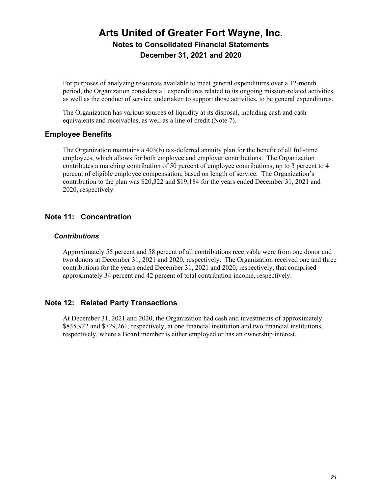For purposes of analyzing resources available to meet general expenditures over a 12-month period, the Organization considers all expenditures related to its ongoing mission-related activities, as well as the conduct of service undertaken to support those activities, to be general expenditures.

The Organization has various sources of liquidity at its disposal, including cash and cash equivalents and receivables, as well as a line of credit (Note 7).

### **Employee Benefits**

The Organization maintains a 403(b) tax-deferred annuity plan for the benefit of all full-time employees, which allows for both employee and employer contributions. The Organization contributes a matching contribution of 50 percent of employee contributions, up to 3 percent to 4 percent of eligible employee compensation, based on length of service. The Organization's contribution to the plan was \$20,322 and \$19,184 for the years ended December 31, 2021 and 2020, respectively.

## **Note 11: Concentration**

#### *Contributions*

Approximately 55 percent and 58 percent of all contributions receivable were from one donor and two donors at December 31, 2021 and 2020, respectively. The Organization received one and three contributions for the years ended December 31, 2021 and 2020, respectively, that comprised approximately 34 percent and 42 percent of total contribution income, respectively.

#### **Note 12: Related Party Transactions**

At December 31, 2021 and 2020, the Organization had cash and investments of approximately \$835,922 and \$729,261, respectively, at one financial institution and two financial institutions, respectively, where a Board member is either employed or has an ownership interest.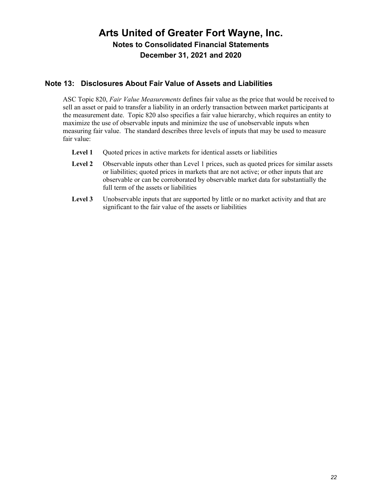## **Note 13: Disclosures About Fair Value of Assets and Liabilities**

ASC Topic 820, *Fair Value Measurements* defines fair value as the price that would be received to sell an asset or paid to transfer a liability in an orderly transaction between market participants at the measurement date. Topic 820 also specifies a fair value hierarchy, which requires an entity to maximize the use of observable inputs and minimize the use of unobservable inputs when measuring fair value. The standard describes three levels of inputs that may be used to measure fair value:

- Level 1 Quoted prices in active markets for identical assets or liabilities
- Level 2 Observable inputs other than Level 1 prices, such as quoted prices for similar assets or liabilities; quoted prices in markets that are not active; or other inputs that are observable or can be corroborated by observable market data for substantially the full term of the assets or liabilities
- **Level 3** Unobservable inputs that are supported by little or no market activity and that are significant to the fair value of the assets or liabilities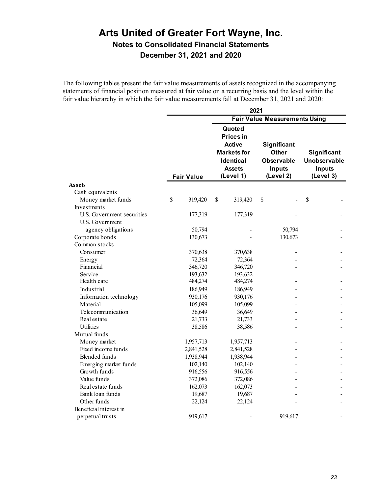The following tables present the fair value measurements of assets recognized in the accompanying statements of financial position measured at fair value on a recurring basis and the level within the fair value hierarchy in which the fair value measurements fall at December 31, 2021 and 2020:

|                            | 2021         |                   |    |                    |                                      |              |  |  |
|----------------------------|--------------|-------------------|----|--------------------|--------------------------------------|--------------|--|--|
|                            |              |                   |    |                    | <b>Fair Value Measurements Using</b> |              |  |  |
|                            |              |                   |    | Quoted             |                                      |              |  |  |
|                            |              |                   |    | <b>Prices in</b>   |                                      |              |  |  |
|                            |              |                   |    | <b>Active</b>      | Significant                          |              |  |  |
|                            |              |                   |    | <b>Markets for</b> | Other                                | Significant  |  |  |
|                            |              |                   |    | Identical          | Observable                           | Unobservable |  |  |
|                            |              |                   |    | <b>Assets</b>      | Inputs                               | Inputs       |  |  |
|                            |              | <b>Fair Value</b> |    | (Level 1)          | (Level 2)                            | (Level 3)    |  |  |
| Assets                     |              |                   |    |                    |                                      |              |  |  |
| Cash equivalents           |              |                   |    |                    |                                      |              |  |  |
| Money market funds         | $\mathbb{S}$ | 319,420           | \$ | 319,420            | $\mathbb{S}$                         | \$           |  |  |
| Investments                |              |                   |    |                    |                                      |              |  |  |
| U.S. Government securities |              | 177,319           |    | 177,319            |                                      |              |  |  |
| U.S. Government            |              |                   |    |                    |                                      |              |  |  |
| agency obligations         |              | 50,794            |    |                    | 50,794                               |              |  |  |
| Corporate bonds            |              | 130,673           |    |                    | 130,673                              |              |  |  |
| Common stocks              |              |                   |    |                    |                                      |              |  |  |
| Consumer                   |              | 370,638           |    | 370,638            |                                      |              |  |  |
| Energy                     |              | 72,364            |    | 72,364             |                                      |              |  |  |
| Financial                  |              | 346,720           |    | 346,720            |                                      |              |  |  |
| Service                    |              | 193,632           |    | 193,632            |                                      |              |  |  |
| Health care                |              | 484,274           |    | 484,274            |                                      |              |  |  |
| Industrial                 |              | 186,949           |    | 186,949            |                                      |              |  |  |
| Information technology     |              | 930,176           |    | 930,176            |                                      |              |  |  |
| Material                   |              | 105,099           |    | 105,099            |                                      |              |  |  |
| Telecommunication          |              | 36,649            |    | 36,649             |                                      |              |  |  |
| Real estate                |              | 21,733            |    | 21,733             |                                      |              |  |  |
| <b>Utilities</b>           |              | 38,586            |    | 38,586             |                                      |              |  |  |
| Mutual funds               |              |                   |    |                    |                                      |              |  |  |
| Money market               |              | 1,957,713         |    | 1,957,713          |                                      |              |  |  |
| Fixed income funds         |              | 2,841,528         |    | 2,841,528          |                                      |              |  |  |
| <b>Blended</b> funds       |              | 1,938,944         |    | 1,938,944          |                                      |              |  |  |
| Emerging market funds      |              | 102,140           |    | 102,140            |                                      |              |  |  |
| Growth funds               |              | 916,556           |    | 916,556            |                                      |              |  |  |
| Value funds                |              | 372,086           |    | 372,086            |                                      |              |  |  |
| Real estate funds          |              | 162,073           |    | 162,073            |                                      |              |  |  |
| Bank loan funds            |              | 19,687            |    | 19,687             |                                      |              |  |  |
| Other funds                |              | 22,124            |    | 22,124             |                                      |              |  |  |
| Beneficial interest in     |              |                   |    |                    |                                      |              |  |  |
| perpetual trusts           |              | 919,617           |    |                    | 919,617                              |              |  |  |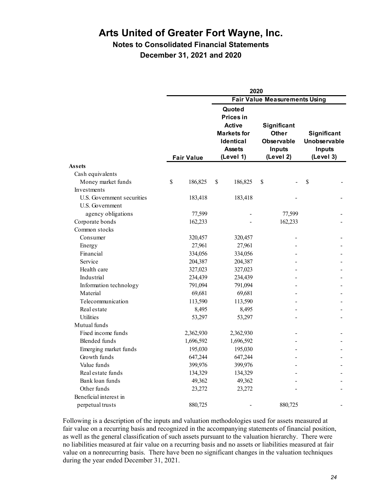## **Notes to Consolidated Financial Statements**

**December 31, 2021 and 2020**

|                            | 2020<br><b>Fair Value Measurements Using</b> |           |                                                                                                              |           |                                                                         |                                                           |
|----------------------------|----------------------------------------------|-----------|--------------------------------------------------------------------------------------------------------------|-----------|-------------------------------------------------------------------------|-----------------------------------------------------------|
|                            |                                              |           |                                                                                                              |           |                                                                         |                                                           |
|                            | <b>Fair Value</b>                            |           | Quoted<br><b>Prices in</b><br><b>Active</b><br><b>Markets for</b><br>Identical<br><b>Assets</b><br>(Level 1) |           | Significant<br><b>Other</b><br><b>Observable</b><br>Inputs<br>(Level 2) | Significant<br>Unobservable<br><b>Inputs</b><br>(Level 3) |
| Assets                     |                                              |           |                                                                                                              |           |                                                                         |                                                           |
| Cash equivalents           |                                              |           |                                                                                                              |           |                                                                         |                                                           |
| Money market funds         | \$                                           | 186,825   | $\mathbb{S}$                                                                                                 | 186,825   | $\$$                                                                    | \$                                                        |
| Investments                |                                              |           |                                                                                                              |           |                                                                         |                                                           |
| U.S. Government securities |                                              | 183,418   |                                                                                                              | 183,418   |                                                                         |                                                           |
| U.S. Government            |                                              |           |                                                                                                              |           |                                                                         |                                                           |
| agency obligations         |                                              | 77,599    |                                                                                                              |           | 77,599                                                                  |                                                           |
| Corporate bonds            |                                              | 162,233   |                                                                                                              |           | 162,233                                                                 |                                                           |
| Common stocks              |                                              |           |                                                                                                              |           |                                                                         |                                                           |
| Consumer                   |                                              | 320,457   |                                                                                                              | 320,457   |                                                                         |                                                           |
| Energy                     |                                              | 27,961    |                                                                                                              | 27,961    |                                                                         |                                                           |
| Financial                  |                                              | 334,056   |                                                                                                              | 334,056   |                                                                         |                                                           |
| Service                    |                                              | 204,387   |                                                                                                              | 204,387   |                                                                         |                                                           |
| Health care                |                                              | 327,023   |                                                                                                              | 327,023   |                                                                         |                                                           |
| Industrial                 |                                              | 234,439   |                                                                                                              | 234,439   |                                                                         |                                                           |
| Information technology     |                                              | 791,094   |                                                                                                              | 791,094   |                                                                         |                                                           |
| Material                   |                                              | 69,681    |                                                                                                              | 69,681    |                                                                         |                                                           |
| Telecommunication          |                                              | 113,590   |                                                                                                              | 113,590   |                                                                         |                                                           |
| Real estate                |                                              | 8,495     |                                                                                                              | 8,495     |                                                                         |                                                           |
| <b>Utilities</b>           |                                              | 53,297    |                                                                                                              | 53,297    |                                                                         |                                                           |
| Mutual funds               |                                              |           |                                                                                                              |           |                                                                         |                                                           |
| Fixed income funds         |                                              | 2,362,930 |                                                                                                              | 2,362,930 |                                                                         |                                                           |
| <b>Blended</b> funds       |                                              | 1,696,592 |                                                                                                              | 1,696,592 |                                                                         |                                                           |
| Emerging market funds      |                                              | 195,030   |                                                                                                              | 195,030   |                                                                         |                                                           |
| Growth funds               |                                              | 647,244   |                                                                                                              | 647,244   |                                                                         |                                                           |
| Value funds                |                                              | 399,976   |                                                                                                              | 399,976   |                                                                         |                                                           |
| Real estate funds          |                                              | 134,329   |                                                                                                              | 134,329   |                                                                         |                                                           |
| Bank loan funds            |                                              | 49,362    |                                                                                                              | 49,362    |                                                                         |                                                           |
| Other funds                |                                              | 23,272    |                                                                                                              | 23,272    |                                                                         |                                                           |
| Beneficial interest in     |                                              |           |                                                                                                              |           |                                                                         |                                                           |
| perpetual trusts           |                                              | 880,725   |                                                                                                              |           | 880,725                                                                 |                                                           |

Following is a description of the inputs and valuation methodologies used for assets measured at fair value on a recurring basis and recognized in the accompanying statements of financial position, as well as the general classification of such assets pursuant to the valuation hierarchy. There were no liabilities measured at fair value on a recurring basis and no assets or liabilities measured at fair value on a nonrecurring basis. There have been no significant changes in the valuation techniques during the year ended December 31, 2021.